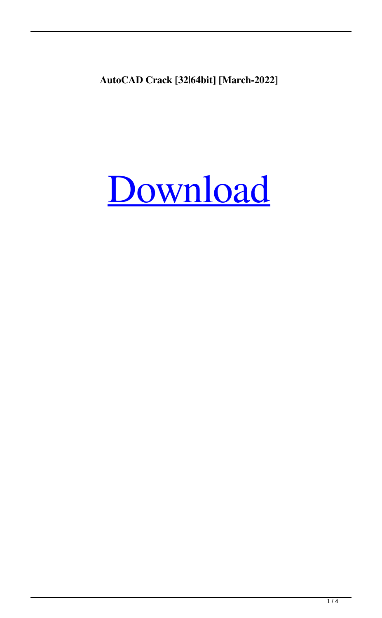**AutoCAD Crack [32|64bit] [March-2022]**

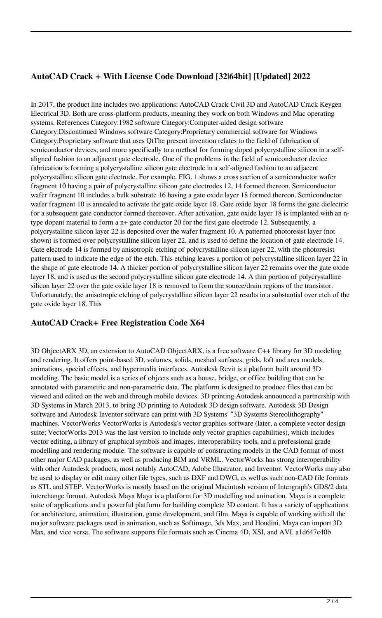## **AutoCAD Crack + With License Code Download [32|64bit] [Updated] 2022**

In 2017, the product line includes two applications: AutoCAD Crack Civil 3D and AutoCAD Crack Keygen Electrical 3D. Both are cross-platform products, meaning they work on both Windows and Mac operating systems. References Category:1982 software Category:Computer-aided design software Category:Discontinued Windows software Category:Proprietary commercial software for Windows Category:Proprietary software that uses QtThe present invention relates to the field of fabrication of semiconductor devices, and more specifically to a method for forming doped polycrystalline silicon in a selfaligned fashion to an adjacent gate electrode. One of the problems in the field of semiconductor device fabrication is forming a polycrystalline silicon gate electrode in a self-aligned fashion to an adjacent polycrystalline silicon gate electrode. For example, FIG. 1 shows a cross section of a semiconductor wafer fragment 10 having a pair of polycrystalline silicon gate electrodes 12, 14 formed thereon. Semiconductor wafer fragment 10 includes a bulk substrate 16 having a gate oxide layer 18 formed thereon. Semiconductor wafer fragment 10 is annealed to activate the gate oxide layer 18. Gate oxide layer 18 forms the gate dielectric for a subsequent gate conductor formed thereover. After activation, gate oxide layer 18 is implanted with an ntype dopant material to form a n+ gate conductor 20 for the first gate electrode 12. Subsequently, a polycrystalline silicon layer 22 is deposited over the wafer fragment 10. A patterned photoresist layer (not shown) is formed over polycrystalline silicon layer 22, and is used to define the location of gate electrode 14. Gate electrode 14 is formed by anisotropic etching of polycrystalline silicon layer 22, with the photoresist pattern used to indicate the edge of the etch. This etching leaves a portion of polycrystalline silicon layer 22 in the shape of gate electrode 14. A thicker portion of polycrystalline silicon layer 22 remains over the gate oxide layer 18, and is used as the second polycrystalline silicon gate electrode 14. A thin portion of polycrystalline silicon layer 22 over the gate oxide layer 18 is removed to form the source/drain regions of the transistor. Unfortunately, the anisotropic etching of polycrystalline silicon layer 22 results in a substantial over etch of the gate oxide layer 18. This

#### **AutoCAD Crack+ Free Registration Code X64**

3D ObjectARX 3D, an extension to AutoCAD ObjectARX, is a free software C++ library for 3D modeling and rendering. It offers point-based 3D, volumes, solids, meshed surfaces, grids, loft and area models, animations, special effects, and hypermedia interfaces. Autodesk Revit is a platform built around 3D modeling. The basic model is a series of objects such as a house, bridge, or office building that can be annotated with parametric and non-parametric data. The platform is designed to produce files that can be viewed and edited on the web and through mobile devices. 3D printing Autodesk announced a partnership with 3D Systems in March 2013, to bring 3D printing to Autodesk 3D design software. Autodesk 3D Design software and Autodesk Inventor software can print with 3D Systems' "3D Systems Stereolithography" machines. VectorWorks VectorWorks is Autodesk's vector graphics software (later, a complete vector design suite; VectorWorks 2013 was the last version to include only vector graphics capabilities), which includes vector editing, a library of graphical symbols and images, interoperability tools, and a professional grade modelling and rendering module. The software is capable of constructing models in the CAD format of most other major CAD packages, as well as producing BIM and VRML. VectorWorks has strong interoperability with other Autodesk products, most notably AutoCAD, Adobe Illustrator, and Inventor. VectorWorks may also be used to display or edit many other file types, such as DXF and DWG, as well as such non-CAD file formats as STL and STEP. VectorWorks is mostly based on the original Macintosh version of Intergraph's GDS/2 data interchange format. Autodesk Maya Maya is a platform for 3D modelling and animation. Maya is a complete suite of applications and a powerful platform for building complete 3D content. It has a variety of applications for architecture, animation, illustration, game development, and film. Maya is capable of working with all the major software packages used in animation, such as Softimage, 3ds Max, and Houdini. Maya can import 3D Max, and vice versa. The software supports file formats such as Cinema 4D, XSI, and AVI. a1d647c40b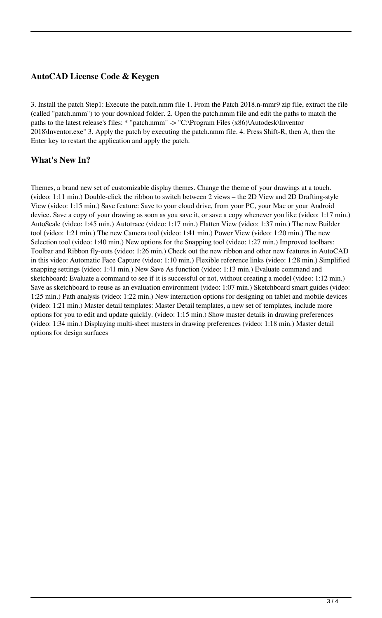### **AutoCAD License Code & Keygen**

3. Install the patch Step1: Execute the patch.nmm file 1. From the Patch 2018.n-mmr9 zip file, extract the file (called "patch.nmm") to your download folder. 2. Open the patch.nmm file and edit the paths to match the paths to the latest release's files: \* "patch.nmm" -> "C:\Program Files (x86)\Autodesk\Inventor 2018\Inventor.exe" 3. Apply the patch by executing the patch.nmm file. 4. Press Shift-R, then A, then the Enter key to restart the application and apply the patch.

#### **What's New In?**

Themes, a brand new set of customizable display themes. Change the theme of your drawings at a touch. (video: 1:11 min.) Double-click the ribbon to switch between 2 views – the 2D View and 2D Drafting-style View (video: 1:15 min.) Save feature: Save to your cloud drive, from your PC, your Mac or your Android device. Save a copy of your drawing as soon as you save it, or save a copy whenever you like (video: 1:17 min.) AutoScale (video: 1:45 min.) Autotrace (video: 1:17 min.) Flatten View (video: 1:37 min.) The new Builder tool (video: 1:21 min.) The new Camera tool (video: 1:41 min.) Power View (video: 1:20 min.) The new Selection tool (video: 1:40 min.) New options for the Snapping tool (video: 1:27 min.) Improved toolbars: Toolbar and Ribbon fly-outs (video: 1:26 min.) Check out the new ribbon and other new features in AutoCAD in this video: Automatic Face Capture (video: 1:10 min.) Flexible reference links (video: 1:28 min.) Simplified snapping settings (video: 1:41 min.) New Save As function (video: 1:13 min.) Evaluate command and sketchboard: Evaluate a command to see if it is successful or not, without creating a model (video: 1:12 min.) Save as sketchboard to reuse as an evaluation environment (video: 1:07 min.) Sketchboard smart guides (video: 1:25 min.) Path analysis (video: 1:22 min.) New interaction options for designing on tablet and mobile devices (video: 1:21 min.) Master detail templates: Master Detail templates, a new set of templates, include more options for you to edit and update quickly. (video: 1:15 min.) Show master details in drawing preferences (video: 1:34 min.) Displaying multi-sheet masters in drawing preferences (video: 1:18 min.) Master detail options for design surfaces